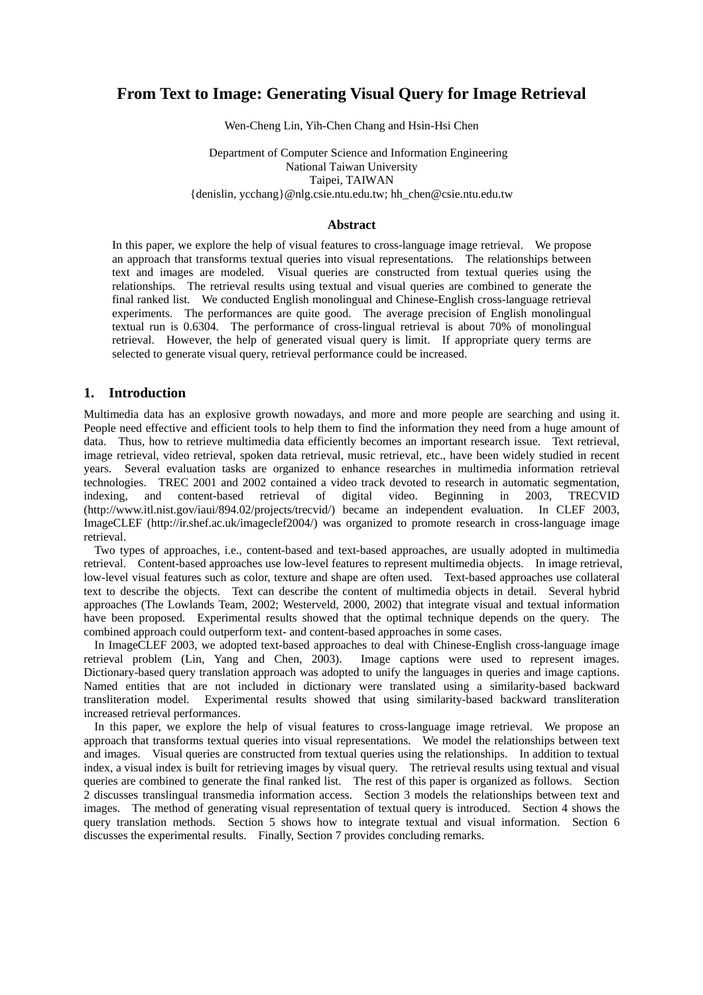# **From Text to Image: Generating Visual Query for Image Retrieval**

Wen-Cheng Lin, Yih-Chen Chang and Hsin-Hsi Chen

Department of Computer Science and Information Engineering National Taiwan University Taipei, TAIWAN {denislin, ycchang}@nlg.csie.ntu.edu.tw; hh\_chen@csie.ntu.edu.tw

#### **Abstract**

In this paper, we explore the help of visual features to cross-language image retrieval. We propose an approach that transforms textual queries into visual representations. The relationships between text and images are modeled. Visual queries are constructed from textual queries using the relationships. The retrieval results using textual and visual queries are combined to generate the final ranked list. We conducted English monolingual and Chinese-English cross-language retrieval experiments. The performances are quite good. The average precision of English monolingual textual run is 0.6304. The performance of cross-lingual retrieval is about 70% of monolingual retrieval. However, the help of generated visual query is limit. If appropriate query terms are selected to generate visual query, retrieval performance could be increased.

## **1. Introduction**

Multimedia data has an explosive growth nowadays, and more and more people are searching and using it. People need effective and efficient tools to help them to find the information they need from a huge amount of data. Thus, how to retrieve multimedia data efficiently becomes an important research issue. Text retrieval, image retrieval, video retrieval, spoken data retrieval, music retrieval, etc., have been widely studied in recent years. Several evaluation tasks are organized to enhance researches in multimedia information retrieval technologies. TREC 2001 and 2002 contained a video track devoted to research in automatic segmentation, indexing, and content-based retrieval of digital video. Beginning in 2003, TRECVID (http://www.itl.nist.gov/iaui/894.02/projects/trecvid/) became an independent evaluation. In CLEF 2003, ImageCLEF (http://ir.shef.ac.uk/imageclef2004/) was organized to promote research in cross-language image retrieval.

Two types of approaches, i.e., content-based and text-based approaches, are usually adopted in multimedia retrieval. Content-based approaches use low-level features to represent multimedia objects. In image retrieval, low-level visual features such as color, texture and shape are often used. Text-based approaches use collateral text to describe the objects. Text can describe the content of multimedia objects in detail. Several hybrid approaches (The Lowlands Team, 2002; Westerveld, 2000, 2002) that integrate visual and textual information have been proposed. Experimental results showed that the optimal technique depends on the query. The combined approach could outperform text- and content-based approaches in some cases.

In ImageCLEF 2003, we adopted text-based approaches to deal with Chinese-English cross-language image retrieval problem (Lin, Yang and Chen, 2003). Image captions were used to represent images. Dictionary-based query translation approach was adopted to unify the languages in queries and image captions. Named entities that are not included in dictionary were translated using a similarity-based backward transliteration model. Experimental results showed that using similarity-based backward transliteration increased retrieval performances.

In this paper, we explore the help of visual features to cross-language image retrieval. We propose an approach that transforms textual queries into visual representations. We model the relationships between text and images. Visual queries are constructed from textual queries using the relationships. In addition to textual index, a visual index is built for retrieving images by visual query. The retrieval results using textual and visual queries are combined to generate the final ranked list. The rest of this paper is organized as follows. Section 2 discusses translingual transmedia information access. Section 3 models the relationships between text and images. The method of generating visual representation of textual query is introduced. Section 4 shows the query translation methods. Section 5 shows how to integrate textual and visual information. Section 6 discusses the experimental results. Finally, Section 7 provides concluding remarks.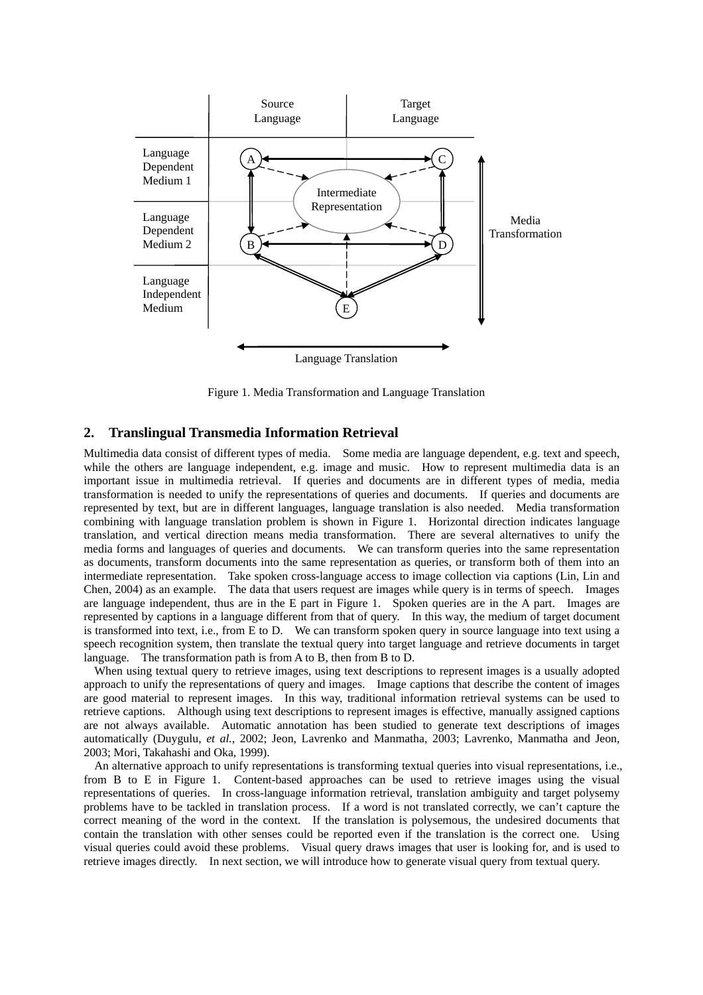

Figure 1. Media Transformation and Language Translation

## **2. Translingual Transmedia Information Retrieval**

Multimedia data consist of different types of media. Some media are language dependent, e.g. text and speech, while the others are language independent, e.g. image and music. How to represent multimedia data is an important issue in multimedia retrieval. If queries and documents are in different types of media, media transformation is needed to unify the representations of queries and documents. If queries and documents are represented by text, but are in different languages, language translation is also needed. Media transformation combining with language translation problem is shown in Figure 1. Horizontal direction indicates language translation, and vertical direction means media transformation. There are several alternatives to unify the media forms and languages of queries and documents. We can transform queries into the same representation as documents, transform documents into the same representation as queries, or transform both of them into an intermediate representation. Take spoken cross-language access to image collection via captions (Lin, Lin and Chen, 2004) as an example. The data that users request are images while query is in terms of speech. Images are language independent, thus are in the E part in Figure 1. Spoken queries are in the A part. Images are represented by captions in a language different from that of query. In this way, the medium of target document is transformed into text, i.e., from E to D. We can transform spoken query in source language into text using a speech recognition system, then translate the textual query into target language and retrieve documents in target language. The transformation path is from A to B, then from B to D.

When using textual query to retrieve images, using text descriptions to represent images is a usually adopted approach to unify the representations of query and images. Image captions that describe the content of images are good material to represent images. In this way, traditional information retrieval systems can be used to retrieve captions. Although using text descriptions to represent images is effective, manually assigned captions are not always available. Automatic annotation has been studied to generate text descriptions of images automatically (Duygulu, *et al.*, 2002; Jeon, Lavrenko and Manmatha, 2003; Lavrenko, Manmatha and Jeon, 2003; Mori, Takahashi and Oka, 1999).

An alternative approach to unify representations is transforming textual queries into visual representations, i.e., from B to E in Figure 1. Content-based approaches can be used to retrieve images using the visual representations of queries. In cross-language information retrieval, translation ambiguity and target polysemy problems have to be tackled in translation process. If a word is not translated correctly, we can't capture the correct meaning of the word in the context. If the translation is polysemous, the undesired documents that contain the translation with other senses could be reported even if the translation is the correct one. Using visual queries could avoid these problems. Visual query draws images that user is looking for, and is used to retrieve images directly. In next section, we will introduce how to generate visual query from textual query.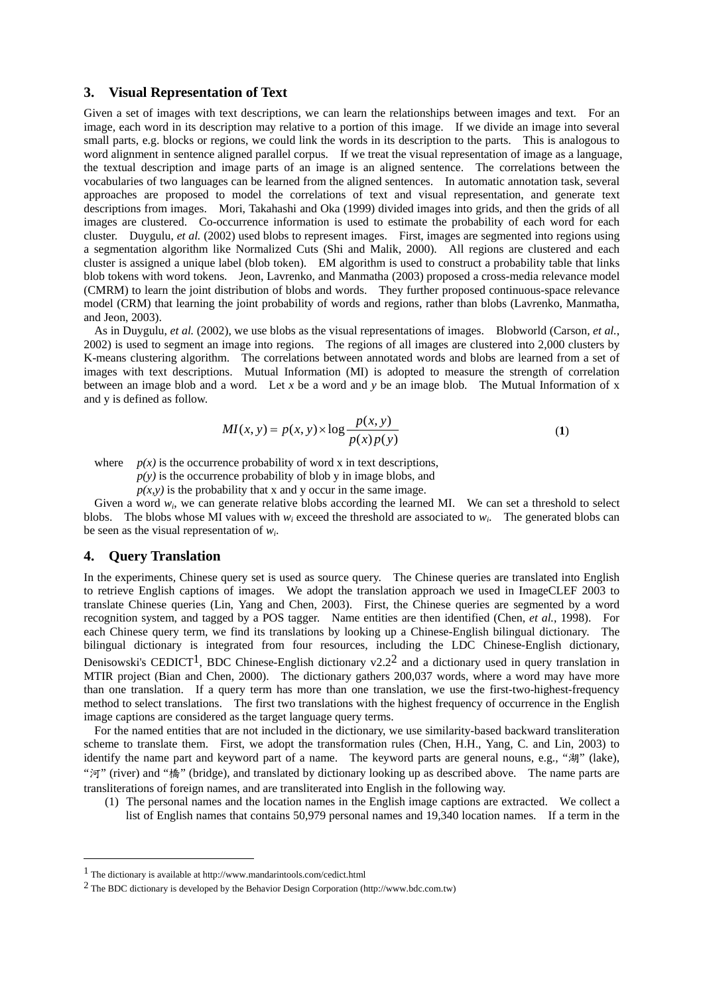#### **3. Visual Representation of Text**

Given a set of images with text descriptions, we can learn the relationships between images and text. For an image, each word in its description may relative to a portion of this image. If we divide an image into several small parts, e.g. blocks or regions, we could link the words in its description to the parts. This is analogous to word alignment in sentence aligned parallel corpus. If we treat the visual representation of image as a language, the textual description and image parts of an image is an aligned sentence. The correlations between the vocabularies of two languages can be learned from the aligned sentences. In automatic annotation task, several approaches are proposed to model the correlations of text and visual representation, and generate text descriptions from images. Mori, Takahashi and Oka (1999) divided images into grids, and then the grids of all images are clustered. Co-occurrence information is used to estimate the probability of each word for each cluster. Duygulu, *et al.* (2002) used blobs to represent images. First, images are segmented into regions using a segmentation algorithm like Normalized Cuts (Shi and Malik, 2000). All regions are clustered and each cluster is assigned a unique label (blob token). EM algorithm is used to construct a probability table that links blob tokens with word tokens. Jeon, Lavrenko, and Manmatha (2003) proposed a cross-media relevance model (CMRM) to learn the joint distribution of blobs and words. They further proposed continuous-space relevance model (CRM) that learning the joint probability of words and regions, rather than blobs (Lavrenko, Manmatha, and Jeon, 2003).

As in Duygulu, *et al.* (2002), we use blobs as the visual representations of images. Blobworld (Carson, *et al.*, 2002) is used to segment an image into regions. The regions of all images are clustered into 2,000 clusters by K-means clustering algorithm. The correlations between annotated words and blobs are learned from a set of images with text descriptions. Mutual Information (MI) is adopted to measure the strength of correlation between an image blob and a word. Let *x* be a word and *y* be an image blob. The Mutual Information of x and y is defined as follow.

$$
MI(x, y) = p(x, y) \times \log \frac{p(x, y)}{p(x)p(y)}
$$
(1)

where  $p(x)$  is the occurrence probability of word x in text descriptions,

 $p(y)$  is the occurrence probability of blob y in image blobs, and

 $p(x, y)$  is the probability that x and y occur in the same image.

Given a word  $w_i$ , we can generate relative blobs according the learned MI. We can set a threshold to select blobs. The blobs whose MI values with *wi* exceed the threshold are associated to *wi*. The generated blobs can be seen as the visual representation of *wi*.

#### **4. Query Translation**

 $\overline{a}$ 

In the experiments, Chinese query set is used as source query. The Chinese queries are translated into English to retrieve English captions of images. We adopt the translation approach we used in ImageCLEF 2003 to translate Chinese queries (Lin, Yang and Chen, 2003). First, the Chinese queries are segmented by a word recognition system, and tagged by a POS tagger. Name entities are then identified (Chen, *et al.*, 1998). For each Chinese query term, we find its translations by looking up a Chinese-English bilingual dictionary. The bilingual dictionary is integrated from four resources, including the LDC Chinese-English dictionary, Denisowski's CEDICT<sup>1</sup>, BDC Chinese-English dictionary v2.2<sup>2</sup> and a dictionary used in query translation in MTIR project (Bian and Chen, 2000). The dictionary gathers 200,037 words, where a word may have more than one translation. If a query term has more than one translation, we use the first-two-highest-frequency method to select translations. The first two translations with the highest frequency of occurrence in the English image captions are considered as the target language query terms.

For the named entities that are not included in the dictionary, we use similarity-based backward transliteration scheme to translate them. First, we adopt the transformation rules (Chen, H.H., Yang, C. and Lin, 2003) to identify the name part and keyword part of a name. The keyword parts are general nouns, e.g., "湖" (lake), "河" (river) and "橋" (bridge), and translated by dictionary looking up as described above. The name parts are transliterations of foreign names, and are transliterated into English in the following way.

(1) The personal names and the location names in the English image captions are extracted. We collect a list of English names that contains 50,979 personal names and 19,340 location names. If a term in the

<span id="page-2-0"></span><sup>1</sup> The dictionary is available at http://www.mandarintools.com/cedict.html

<span id="page-2-1"></span><sup>2</sup> The BDC dictionary is developed by the Behavior Design Corporation (http://www.bdc.com.tw)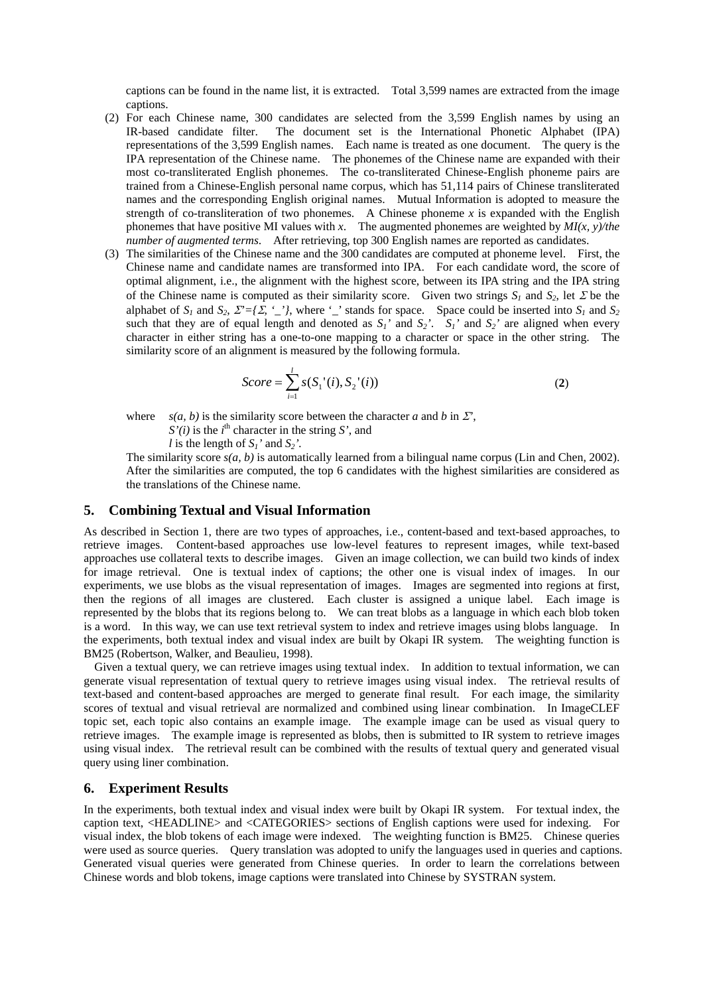captions can be found in the name list, it is extracted. Total 3,599 names are extracted from the image captions.

- (2) For each Chinese name, 300 candidates are selected from the 3,599 English names by using an IR-based candidate filter. The document set is the International Phonetic Alphabet (IPA) representations of the 3,599 English names. Each name is treated as one document. The query is the IPA representation of the Chinese name. The phonemes of the Chinese name are expanded with their most co-transliterated English phonemes. The co-transliterated Chinese-English phoneme pairs are trained from a Chinese-English personal name corpus, which has 51,114 pairs of Chinese transliterated names and the corresponding English original names. Mutual Information is adopted to measure the strength of co-transliteration of two phonemes. A Chinese phoneme  $x$  is expanded with the English phonemes that have positive MI values with *x*. The augmented phonemes are weighted by *MI(x, y)/the number of augmented terms*. After retrieving, top 300 English names are reported as candidates.
- (3) The similarities of the Chinese name and the 300 candidates are computed at phoneme level. First, the Chinese name and candidate names are transformed into IPA. For each candidate word, the score of optimal alignment, i.e., the alignment with the highest score, between its IPA string and the IPA string of the Chinese name is computed as their similarity score. Given two strings  $S_1$  and  $S_2$ , let  $\Sigma$  be the alphabet of  $S_1$  and  $S_2$ ,  $\Sigma^2 = \{ \Sigma, \ L' \}$ , where  $\bot$  stands for space. Space could be inserted into  $S_1$  and  $S_2$ such that they are of equal length and denoted as  $S_1$ ' and  $S_2$ '.  $S_1$ ' and  $S_2$ ' are aligned when every character in either string has a one-to-one mapping to a character or space in the other string. The similarity score of an alignment is measured by the following formula.

$$
Score = \sum_{i=1}^{l} s(S_1'(i), S_2'(i))
$$
\n(2)

where *s(a, b)* is the similarity score between the character *a* and *b* in  $\Sigma$ <sup>*r*</sup>,

 $S'(i)$  is the *i*<sup>th</sup> character in the string *S'*, and

*l* is the length of  $S_1$ ' and  $S_2$ '.

The similarity score  $s(a, b)$  is automatically learned from a bilingual name corpus (Lin and Chen, 2002). After the similarities are computed, the top 6 candidates with the highest similarities are considered as the translations of the Chinese name.

#### **5. Combining Textual and Visual Information**

As described in Section 1, there are two types of approaches, i.e., content-based and text-based approaches, to retrieve images. Content-based approaches use low-level features to represent images, while text-based approaches use collateral texts to describe images. Given an image collection, we can build two kinds of index for image retrieval. One is textual index of captions; the other one is visual index of images. In our experiments, we use blobs as the visual representation of images. Images are segmented into regions at first, then the regions of all images are clustered. Each cluster is assigned a unique label. Each image is represented by the blobs that its regions belong to. We can treat blobs as a language in which each blob token is a word. In this way, we can use text retrieval system to index and retrieve images using blobs language. In the experiments, both textual index and visual index are built by Okapi IR system. The weighting function is BM25 (Robertson, Walker, and Beaulieu, 1998).

Given a textual query, we can retrieve images using textual index. In addition to textual information, we can generate visual representation of textual query to retrieve images using visual index. The retrieval results of text-based and content-based approaches are merged to generate final result. For each image, the similarity scores of textual and visual retrieval are normalized and combined using linear combination. In ImageCLEF topic set, each topic also contains an example image. The example image can be used as visual query to retrieve images. The example image is represented as blobs, then is submitted to IR system to retrieve images using visual index. The retrieval result can be combined with the results of textual query and generated visual query using liner combination.

### **6. Experiment Results**

In the experiments, both textual index and visual index were built by Okapi IR system. For textual index, the caption text, <HEADLINE> and <CATEGORIES> sections of English captions were used for indexing. For visual index, the blob tokens of each image were indexed. The weighting function is BM25. Chinese queries were used as source queries. Query translation was adopted to unify the languages used in queries and captions. Generated visual queries were generated from Chinese queries. In order to learn the correlations between Chinese words and blob tokens, image captions were translated into Chinese by SYSTRAN system.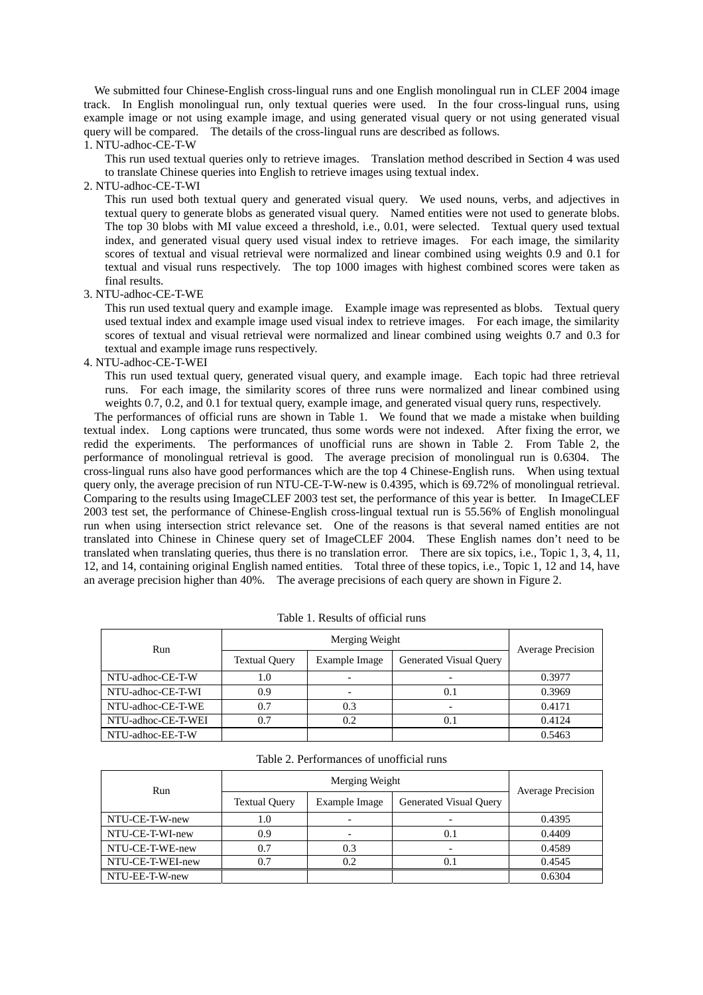We submitted four Chinese-English cross-lingual runs and one English monolingual run in CLEF 2004 image track. In English monolingual run, only textual queries were used. In the four cross-lingual runs, using example image or not using example image, and using generated visual query or not using generated visual query will be compared. The details of the cross-lingual runs are described as follows.

# 1. NTU-adhoc-CE-T-W

This run used textual queries only to retrieve images. Translation method described in Section 4 was used to translate Chinese queries into English to retrieve images using textual index.

#### 2. NTU-adhoc-CE-T-WI

This run used both textual query and generated visual query. We used nouns, verbs, and adjectives in textual query to generate blobs as generated visual query. Named entities were not used to generate blobs. The top 30 blobs with MI value exceed a threshold, i.e., 0.01, were selected. Textual query used textual index, and generated visual query used visual index to retrieve images. For each image, the similarity scores of textual and visual retrieval were normalized and linear combined using weights 0.9 and 0.1 for textual and visual runs respectively. The top 1000 images with highest combined scores were taken as final results.

#### 3. NTU-adhoc-CE-T-WE

This run used textual query and example image. Example image was represented as blobs. Textual query used textual index and example image used visual index to retrieve images. For each image, the similarity scores of textual and visual retrieval were normalized and linear combined using weights 0.7 and 0.3 for textual and example image runs respectively.

#### 4. NTU-adhoc-CE-T-WEI

This run used textual query, generated visual query, and example image. Each topic had three retrieval runs. For each image, the similarity scores of three runs were normalized and linear combined using weights 0.7, 0.2, and 0.1 for textual query, example image, and generated visual query runs, respectively.

The performances of official runs are shown in Table 1. We found that we made a mistake when building textual index. Long captions were truncated, thus some words were not indexed. After fixing the error, we redid the experiments. The performances of unofficial runs are shown in Table 2. From Table 2, the performance of monolingual retrieval is good. The average precision of monolingual run is 0.6304. The cross-lingual runs also have good performances which are the top 4 Chinese-English runs. When using textual query only, the average precision of run NTU-CE-T-W-new is 0.4395, which is 69.72% of monolingual retrieval. Comparing to the results using ImageCLEF 2003 test set, the performance of this year is better. In ImageCLEF 2003 test set, the performance of Chinese-English cross-lingual textual run is 55.56% of English monolingual run when using intersection strict relevance set. One of the reasons is that several named entities are not translated into Chinese in Chinese query set of ImageCLEF 2004. These English names don't need to be translated when translating queries, thus there is no translation error. There are six topics, i.e., Topic 1, 3, 4, 11, 12, and 14, containing original English named entities. Total three of these topics, i.e., Topic 1, 12 and 14, have an average precision higher than 40%. The average precisions of each query are shown in Figure 2.

| Run                | Merging Weight       |               |                        |                          |
|--------------------|----------------------|---------------|------------------------|--------------------------|
|                    | <b>Textual Query</b> | Example Image | Generated Visual Query | <b>Average Precision</b> |
| NTU-adhoc-CE-T-W   | 1.0                  |               |                        | 0.3977                   |
| NTU-adhoc-CE-T-WI  | 0.9                  |               | 0.1                    | 0.3969                   |
| NTU-adhoc-CE-T-WE  | 0.7                  | 0.3           |                        | 0.4171                   |
| NTU-adhoc-CE-T-WEI | 0.7                  | 0.2           | 0.1                    | 0.4124                   |
| NTU-adhoc-EE-T-W   |                      |               |                        | 0.5463                   |

Table 1. Results of official runs

| Table 2. Performances of unofficial runs |  |
|------------------------------------------|--|
|------------------------------------------|--|

| Run              | Merging Weight       |               |                               | <b>Average Precision</b> |
|------------------|----------------------|---------------|-------------------------------|--------------------------|
|                  | <b>Textual Query</b> | Example Image | <b>Generated Visual Query</b> |                          |
| NTU-CE-T-W-new   | 1.0                  |               |                               | 0.4395                   |
| NTU-CE-T-WI-new  | 0.9                  |               | 0.1                           | 0.4409                   |
| NTU-CE-T-WE-new  | 0.7                  | 0.3           |                               | 0.4589                   |
| NTU-CE-T-WEI-new | 0.7                  | 0.2           | 0.1                           | 0.4545                   |
| NTU-EE-T-W-new   |                      |               |                               | 0.6304                   |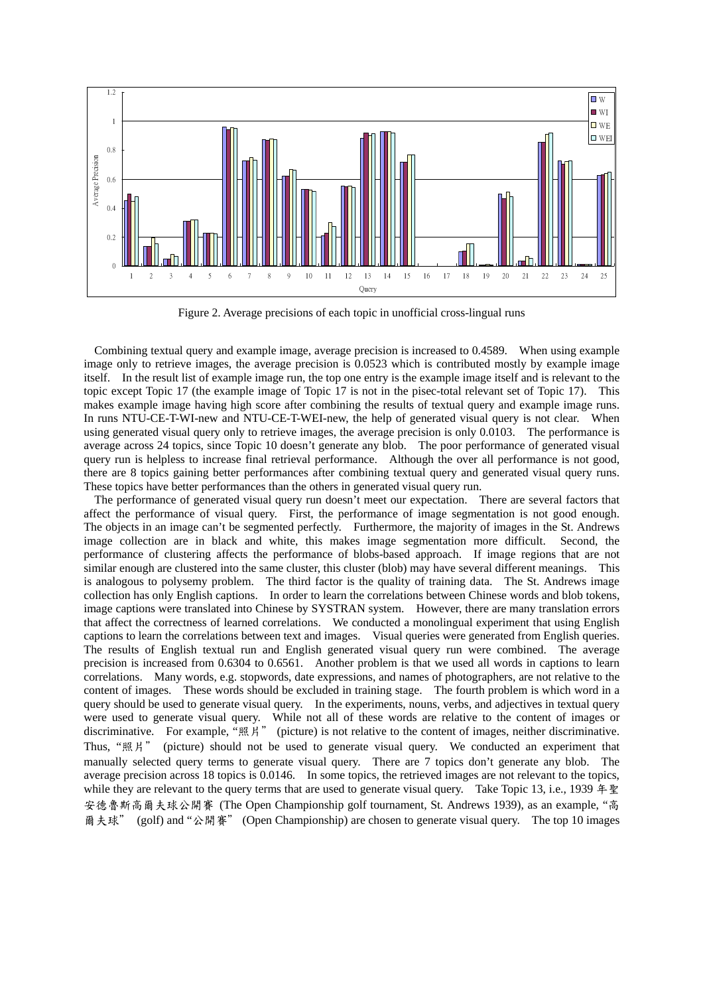

Figure 2. Average precisions of each topic in unofficial cross-lingual runs

Combining textual query and example image, average precision is increased to 0.4589. When using example image only to retrieve images, the average precision is 0.0523 which is contributed mostly by example image itself. In the result list of example image run, the top one entry is the example image itself and is relevant to the topic except Topic 17 (the example image of Topic 17 is not in the pisec-total relevant set of Topic 17). This makes example image having high score after combining the results of textual query and example image runs. In runs NTU-CE-T-WI-new and NTU-CE-T-WEI-new, the help of generated visual query is not clear. When using generated visual query only to retrieve images, the average precision is only 0.0103. The performance is average across 24 topics, since Topic 10 doesn't generate any blob. The poor performance of generated visual query run is helpless to increase final retrieval performance. Although the over all performance is not good, there are 8 topics gaining better performances after combining textual query and generated visual query runs. These topics have better performances than the others in generated visual query run.

The performance of generated visual query run doesn't meet our expectation. There are several factors that affect the performance of visual query. First, the performance of image segmentation is not good enough. The objects in an image can't be segmented perfectly. Furthermore, the majority of images in the St. Andrews image collection are in black and white, this makes image segmentation more difficult. Second, the performance of clustering affects the performance of blobs-based approach. If image regions that are not similar enough are clustered into the same cluster, this cluster (blob) may have several different meanings. This is analogous to polysemy problem. The third factor is the quality of training data. The St. Andrews image collection has only English captions. In order to learn the correlations between Chinese words and blob tokens, image captions were translated into Chinese by SYSTRAN system. However, there are many translation errors that affect the correctness of learned correlations. We conducted a monolingual experiment that using English captions to learn the correlations between text and images. Visual queries were generated from English queries. The results of English textual run and English generated visual query run were combined. The average precision is increased from 0.6304 to 0.6561. Another problem is that we used all words in captions to learn correlations. Many words, e.g. stopwords, date expressions, and names of photographers, are not relative to the content of images. These words should be excluded in training stage. The fourth problem is which word in a query should be used to generate visual query. In the experiments, nouns, verbs, and adjectives in textual query were used to generate visual query. While not all of these words are relative to the content of images or discriminative. For example, "照片" (picture) is not relative to the content of images, neither discriminative. Thus, "照片" (picture) should not be used to generate visual query. We conducted an experiment that manually selected query terms to generate visual query. There are 7 topics don't generate any blob. The average precision across 18 topics is 0.0146. In some topics, the retrieved images are not relevant to the topics, while they are relevant to the query terms that are used to generate visual query. Take Topic 13, i.e., 1939 年聖 安德魯斯高爾夫球公開賽 (The Open Championship golf tournament, St. Andrews 1939), as an example, "高 爾夫球" (golf) and "公開賽" (Open Championship) are chosen to generate visual query. The top 10 images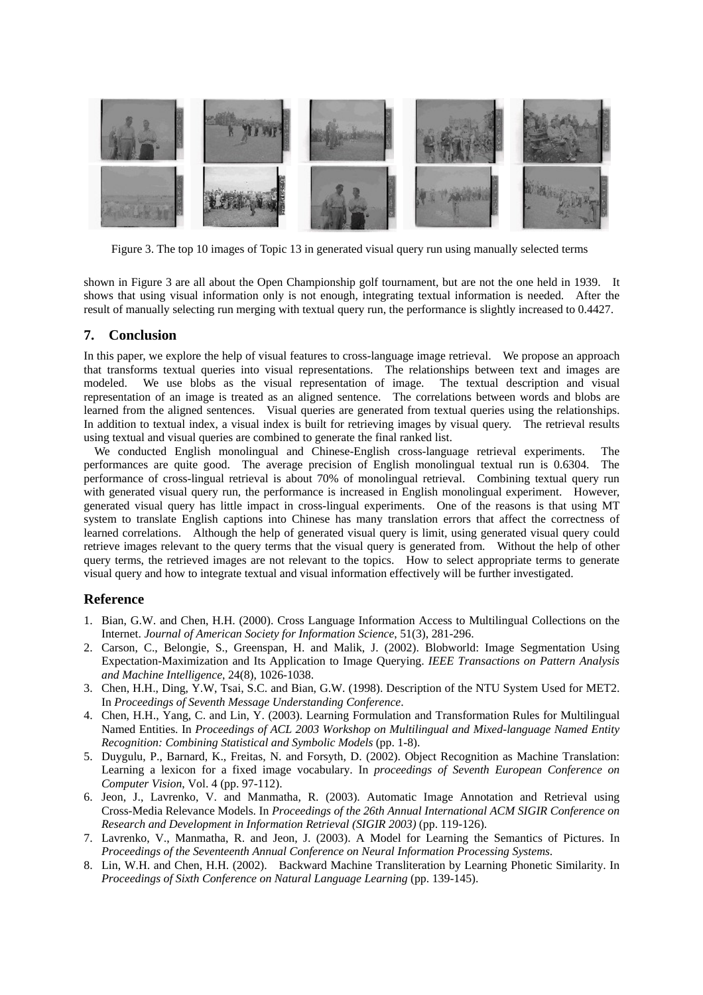

Figure 3. The top 10 images of Topic 13 in generated visual query run using manually selected terms

shown in Figure 3 are all about the Open Championship golf tournament, but are not the one held in 1939. It shows that using visual information only is not enough, integrating textual information is needed. After the result of manually selecting run merging with textual query run, the performance is slightly increased to 0.4427.

### **7. Conclusion**

In this paper, we explore the help of visual features to cross-language image retrieval. We propose an approach that transforms textual queries into visual representations. The relationships between text and images are modeled. We use blobs as the visual representation of image. The textual description and visual representation of an image is treated as an aligned sentence. The correlations between words and blobs are learned from the aligned sentences. Visual queries are generated from textual queries using the relationships. In addition to textual index, a visual index is built for retrieving images by visual query. The retrieval results using textual and visual queries are combined to generate the final ranked list.

We conducted English monolingual and Chinese-English cross-language retrieval experiments. The performances are quite good. The average precision of English monolingual textual run is 0.6304. The performance of cross-lingual retrieval is about 70% of monolingual retrieval. Combining textual query run with generated visual query run, the performance is increased in English monolingual experiment. However, generated visual query has little impact in cross-lingual experiments. One of the reasons is that using MT system to translate English captions into Chinese has many translation errors that affect the correctness of learned correlations. Although the help of generated visual query is limit, using generated visual query could retrieve images relevant to the query terms that the visual query is generated from. Without the help of other query terms, the retrieved images are not relevant to the topics. How to select appropriate terms to generate visual query and how to integrate textual and visual information effectively will be further investigated.

### **Reference**

- 1. Bian, G.W. and Chen, H.H. (2000). Cross Language Information Access to Multilingual Collections on the Internet. *Journal of American Society for Information Science*, 51(3), 281-296.
- 2. Carson, C., Belongie, S., Greenspan, H. and Malik, J. (2002). Blobworld: Image Segmentation Using Expectation-Maximization and Its Application to Image Querying. *IEEE Transactions on Pattern Analysis and Machine Intelligence*, 24(8), 1026-1038.
- 3. Chen, H.H., Ding, Y.W, Tsai, S.C. and Bian, G.W. (1998). Description of the NTU System Used for MET2. In *Proceedings of Seventh Message Understanding Conference*.
- 4. Chen, H.H., Yang, C. and Lin, Y. (2003). Learning Formulation and Transformation Rules for Multilingual Named Entities. In *Proceedings of ACL 2003 Workshop on Multilingual and Mixed-language Named Entity Recognition: Combining Statistical and Symbolic Models* (pp. 1-8).
- 5. Duygulu, P., Barnard, K., Freitas, N. and Forsyth, D. (2002). Object Recognition as Machine Translation: Learning a lexicon for a fixed image vocabulary. In *proceedings of Seventh European Conference on Computer Vision*, Vol. 4 (pp. 97-112).
- 6. Jeon, J., Lavrenko, V. and Manmatha, R. (2003). Automatic Image Annotation and Retrieval using Cross-Media Relevance Models. In *Proceedings of the 26th Annual International ACM SIGIR Conference on Research and Development in Information Retrieval (SIGIR 2003)* (pp. 119-126).
- 7. Lavrenko, V., Manmatha, R. and Jeon, J. (2003). A Model for Learning the Semantics of Pictures. In *Proceedings of the Seventeenth Annual Conference on Neural Information Processing Systems*.
- 8. Lin, W.H. and Chen, H.H. (2002). Backward Machine Transliteration by Learning Phonetic Similarity. In *Proceedings of Sixth Conference on Natural Language Learning* (pp. 139-145).